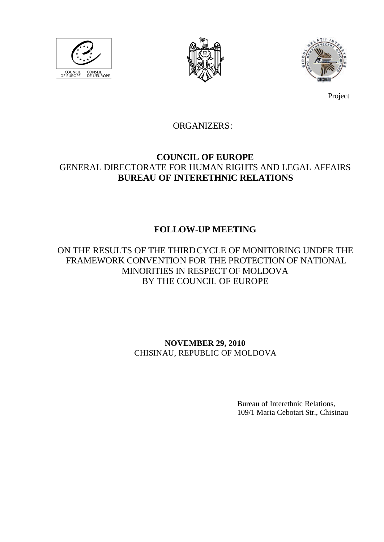





Project

# ORGANIZERS:

## **COUNCIL OF EUROPE** GENERAL DIRECTORATE FOR HUMAN RIGHTS AND LEGAL AFFAIRS **BUREAU OF INTERETHNIC RELATIONS**

# **FOLLOW-UP MEETING**

ON THE RESULTS OF THE THIRDCYCLE OF MONITORING UNDER THE FRAMEWORK CONVENTION FOR THE PROTECTION OF NATIONAL MINORITIES IN RESPECT OF MOLDOVA BY THE COUNCIL OF EUROPE

> **NOVEMBER 29, 2010** CHISINAU, REPUBLIC OF MOLDOVA

> > Bureau of Interethnic Relations, 109/1 Maria Cebotari Str., Chisinau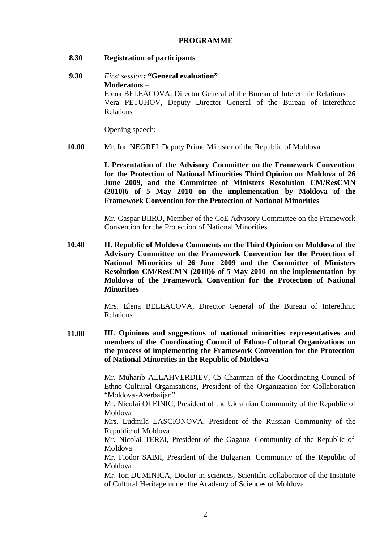## **PROGRAMME**

## **8.30 Registration of participants**

**9.30** *First session:* **"General evaluation" Moderators** – Elena BELEACOVA, Director General of the Bureau of Interethnic Relations Vera PETUHOV, Deputy Director General of the Bureau of Interethnic Relations

Opening speech:

**10.00** Mr. Ion NEGREI, Deputy Prime Minister of the Republic of Moldova

> **I. Presentation of the Advisory Committee on the Framework Convention for the Protection of National Minorities Third Opinion on Moldova of 26 June 2009, and the Committee of Ministers Resolution CM/ResCMN (2010)6 of 5 May 2010 on the implementation by Moldova of the Framework Convention for the Protection of National Minorities**

> Mr. Gaspar BIIRO, Member of the CoE Advisory Committee on the Framework Convention for the Protection of National Minorities

**10.40 II. Republic of Moldova Comments on the Third Opinion on Moldova of the Advisory Committee on the Framework Convention for the Protection of National Minorities of 26 June 2009 and the Committee of Ministers Resolution CM/ResCMN (2010)6 of 5 May 2010 on the implementation by Moldova of the Framework Convention for the Protection of National Minorities** 

> Mrs. Elena BELEACOVA, Director General of the Bureau of Interethnic Relations

**11.00 III. Opinions and suggestions of national minorities representatives and members of the Coordinating Council of Ethno-Cultural Organizations on the process of implementing the Framework Convention for the Protection of National Minorities in the Republic of Moldova** 

> Mr. Muharib ALLAHVERDIEV, Co-Chairman of the Coordinating Council of Ethno-Cultural Organisations, President of the Organization for Collaboration "Moldova-Azerbaijan"

> Mr. Nicolai OLEINIC, President of the Ukrainian Community of the Republic of Moldova

> Mrs. Ludmila LASCIONOVA, President of the Russian Community of the Republic of Moldova

> Mr. Nicolai TERZI, President of the Gagauz Community of the Republic of Moldova

> Mr. Fiodor SABII, President of the Bulgarian Community of the Republic of Moldova

> Mr. Ion DUMINICA, Doctor in sciences, Scientific collaborator of the Institute of Cultural Heritage under the Academy of Sciences of Moldova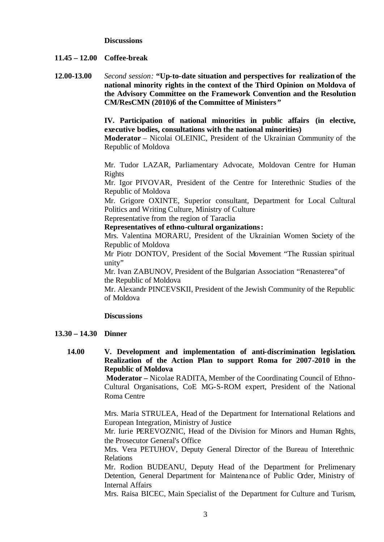#### **Discussions**

## **11.45 – 12.00 Coffee-break**

**12.00-13.00** *Second session:* **"Up-to-date situation and perspectives for realization of the national minority rights in the context of the Third Opinion on Moldova of the Advisory Committee on the Framework Convention and the Resolution CM/ResCMN (2010)6 of the Committee of Ministers"**

> **IV. Participation of national minorities in public affairs (in elective, executive bodies, consultations with the national minorities)**

> **Moderator** – Nicolai OLEINIC, President of the Ukrainian Community of the Republic of Moldova

> Mr. Tudor LAZAR, Parliamentary Advocate, Moldovan Centre for Human Rights

> Mr. Igor PIVOVAR, President of the Centre for Interethnic Studies of the Republic of Moldova

> Mr. Grigore OXINTE, Superior consultant, Department for Local Cultural Politics and Writing Culture, Ministry of Culture

Representative from the region of Taraclia

**Representatives of ethno-cultural organizations:**

Mrs. Valentina MORARU, President of the Ukrainian Women Society of the Republic of Moldova

Mr Piotr DONTOV, President of the Social Movement "The Russian spiritual unity"

Mr. Ivan ZABUNOV, President of the Bulgarian Association "Renasterea" of the Republic of Moldova

Mr. Alexandr PINCEVSKII, President of the Jewish Community of the Republic of Moldova

#### **Discussions**

#### **13.30 – 14.30 Dinner**

**14.00 V. Development and implementation of anti-discrimination legislation. Realization of the Action Plan to support Roma for 2007-2010 in the Republic of Moldova**

> **Moderator –** Nicolae RADITA, Member of the Coordinating Council of Ethno-Cultural Organisations, CoE MG-S-ROM expert, President of the National Roma Centre

> Mrs. Maria STRULEA, Head of the Department for International Relations and European Integration, Ministry of Justice

> Mr. Iurie PEREVOZNIC, Head of the Division for Minors and Human Rights, the Prosecutor General's Office

> Mrs. Vera PETUHOV, Deputy General Director of the Bureau of Interethnic Relations

> Mr. Rodion BUDEANU, Deputy Head of the Department for Prelimenary Detention, General Department for Maintenance of Public Order, Ministry of Internal Affairs

> Mrs. Raisa BICEC, Main Specialist of the Department for Culture and Turism,